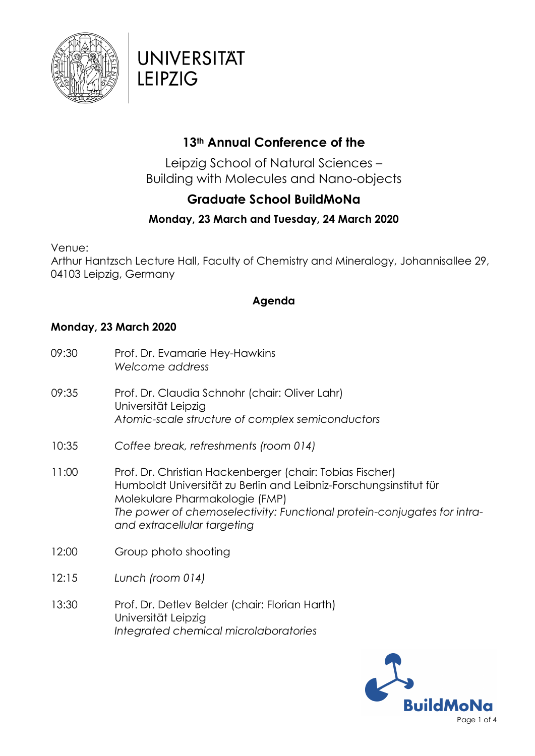

## **UNIVERSITAT LEIPZIG**

### **13th Annual Conference of the**

Leipzig School of Natural Sciences – Building with Molecules and Nano-objects

### **Graduate School BuildMoNa**

### **Monday, 23 March and Tuesday, 24 March 2020**

Venue:

Arthur Hantzsch Lecture Hall, Faculty of Chemistry and Mineralogy, Johannisallee 29, 04103 Leipzig, Germany

#### **Agenda**

#### **Monday, 23 March 2020**

- 09:30 Prof. Dr. Evamarie Hey-Hawkins *Welcome address* 09:35 Prof. Dr. Claudia Schnohr (chair: Oliver Lahr) Universität Leipzig *Atomic-scale structure of complex semiconductors* 10:35 *Coffee break, refreshments (room 014)* 11:00 Prof. Dr. Christian Hackenberger (chair: Tobias Fischer) Humboldt Universität zu Berlin and Leibniz-Forschungsinstitut für Molekulare Pharmakologie (FMP) *The power of chemoselectivity: Functional protein-conjugates for intraand extracellular targeting* 12:00 Group photo shooting 12:15 *Lunch (room 014)*
- 13:30 Prof. Dr. Detlev Belder (chair: Florian Harth) Universität Leipzig *Integrated chemical microlaboratories*

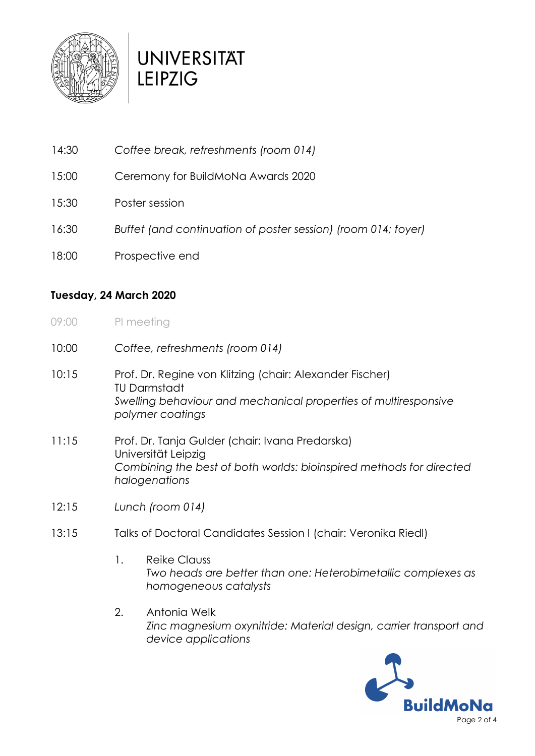

# **UNIVERSITAT LEIPZIG**

- 14:30 *Coffee break, refreshments (room 014)*
- 15:00 Ceremony for BuildMoNa Awards 2020
- 15:30 Poster session
- 16:30 *Buffet (and continuation of poster session) (room 014; foyer)*
- 18:00 Prospective end

#### **Tuesday, 24 March 2020**

- 09:00 PI meeting
- 10:00 *Coffee, refreshments (room 014)*
- 10:15 Prof. Dr. Regine von Klitzing (chair: Alexander Fischer) TU Darmstadt *Swelling behaviour and mechanical properties of multiresponsive polymer coatings*
- 11:15 Prof. Dr. Tanja Gulder (chair: Ivana Predarska) Universität Leipzig *Combining the best of both worlds: bioinspired methods for directed halogenations*
- 12:15 *Lunch (room 014)*
- 13:15 Talks of Doctoral Candidates Session I (chair: Veronika Riedl)
	- 1. Reike Clauss *Two heads are better than one: Heterobimetallic complexes as homogeneous catalysts*
	- 2. Antonia Welk *Zinc magnesium oxynitride: Material design, carrier transport and device applications*

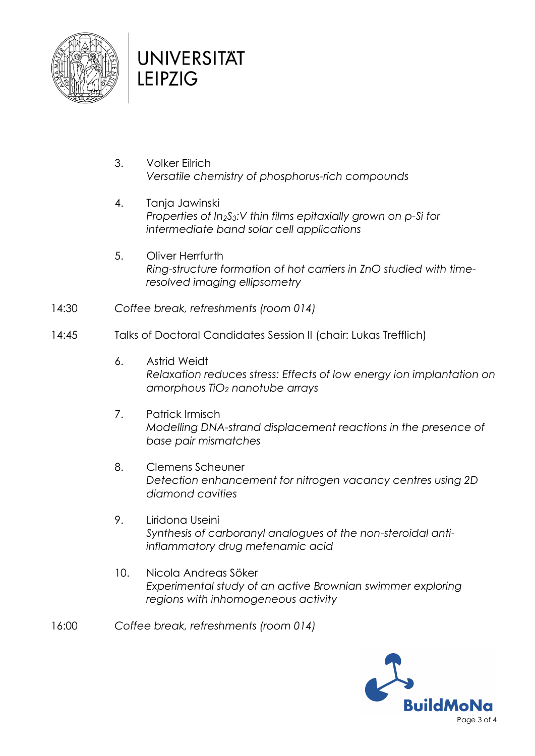

## **UNIVERSITAT LEIPZIG**

- 3. Volker Eilrich *Versatile chemistry of phosphorus-rich compounds*
- 4. Tanja Jawinski *Properties of In2S3:V thin films epitaxially grown on p-Si for intermediate band solar cell applications*
- 5. Oliver Herrfurth *Ring-structure formation of hot carriers in ZnO studied with timeresolved imaging ellipsometry*
- 14:30 *Coffee break, refreshments (room 014)*
- 14:45 Talks of Doctoral Candidates Session II (chair: Lukas Trefflich)
	- 6. Astrid Weidt *Relaxation reduces stress: Effects of low energy ion implantation on amorphous TiO<sup>2</sup> nanotube arrays*
	- 7. Patrick Irmisch *Modelling DNA-strand displacement reactions in the presence of base pair mismatches*
	- 8. Clemens Scheuner *Detection enhancement for nitrogen vacancy centres using 2D diamond cavities*
	- 9. Liridona Useini *Synthesis of carboranyl analogues of the non-steroidal antiinflammatory drug mefenamic acid*
	- 10. Nicola Andreas Söker *Experimental study of an active Brownian swimmer exploring regions with inhomogeneous activity*
- 16:00 *Coffee break, refreshments (room 014)*